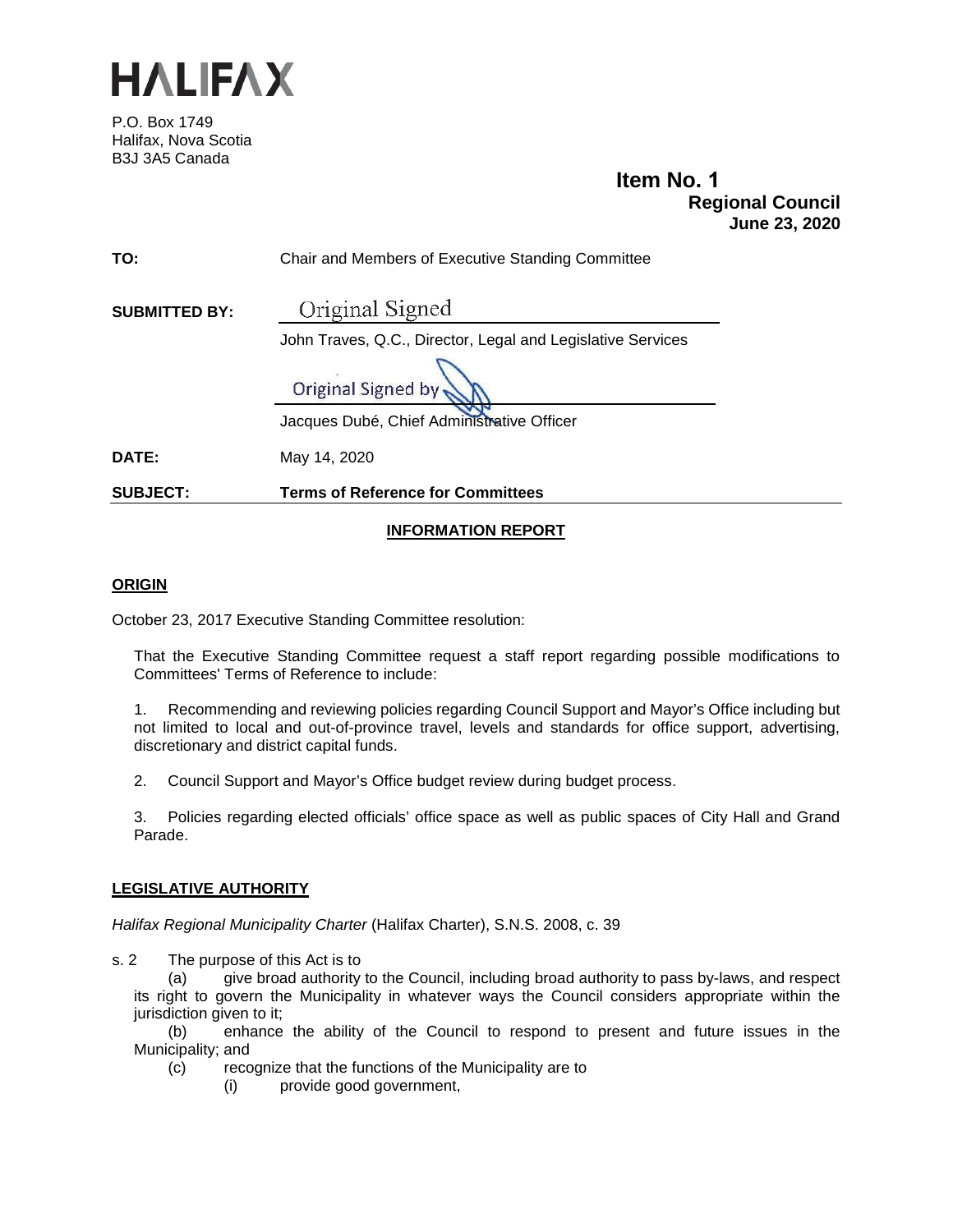

P.O. Box 1749 Halifax, Nova Scotia B3J 3A5 Canada

**Item No. 1 Regional Council June 23, 2020**

| <b>SUBJECT:</b>      | <b>Terms of Reference for Committees</b>                    |  |  |  |  |
|----------------------|-------------------------------------------------------------|--|--|--|--|
| <b>DATE:</b>         | May 14, 2020                                                |  |  |  |  |
|                      | Jacques Dubé, Chief Administrative Officer                  |  |  |  |  |
|                      | Original Signed by                                          |  |  |  |  |
|                      | John Traves, Q.C., Director, Legal and Legislative Services |  |  |  |  |
| <b>SUBMITTED BY:</b> | Original Signed                                             |  |  |  |  |
| TO:                  | Chair and Members of Executive Standing Committee           |  |  |  |  |
|                      |                                                             |  |  |  |  |

# **INFORMATION REPORT**

## **ORIGIN**

October 23, 2017 Executive Standing Committee resolution:

That the Executive Standing Committee request a staff report regarding possible modifications to Committees' Terms of Reference to include:

1. Recommending and reviewing policies regarding Council Support and Mayor's Office including but not limited to local and out-of-province travel, levels and standards for office support, advertising, discretionary and district capital funds.

2. Council Support and Mayor's Office budget review during budget process.

3. Policies regarding elected officials' office space as well as public spaces of City Hall and Grand Parade.

# **LEGISLATIVE AUTHORITY**

*Halifax Regional Municipality Charter* (Halifax Charter), S.N.S. 2008, c. 39

s. 2 The purpose of this Act is to

(a) give broad authority to the Council, including broad authority to pass by-laws, and respect its right to govern the Municipality in whatever ways the Council considers appropriate within the jurisdiction given to it;

(b) enhance the ability of the Council to respond to present and future issues in the Municipality; and

- (c) recognize that the functions of the Municipality are to
	- (i) provide good government,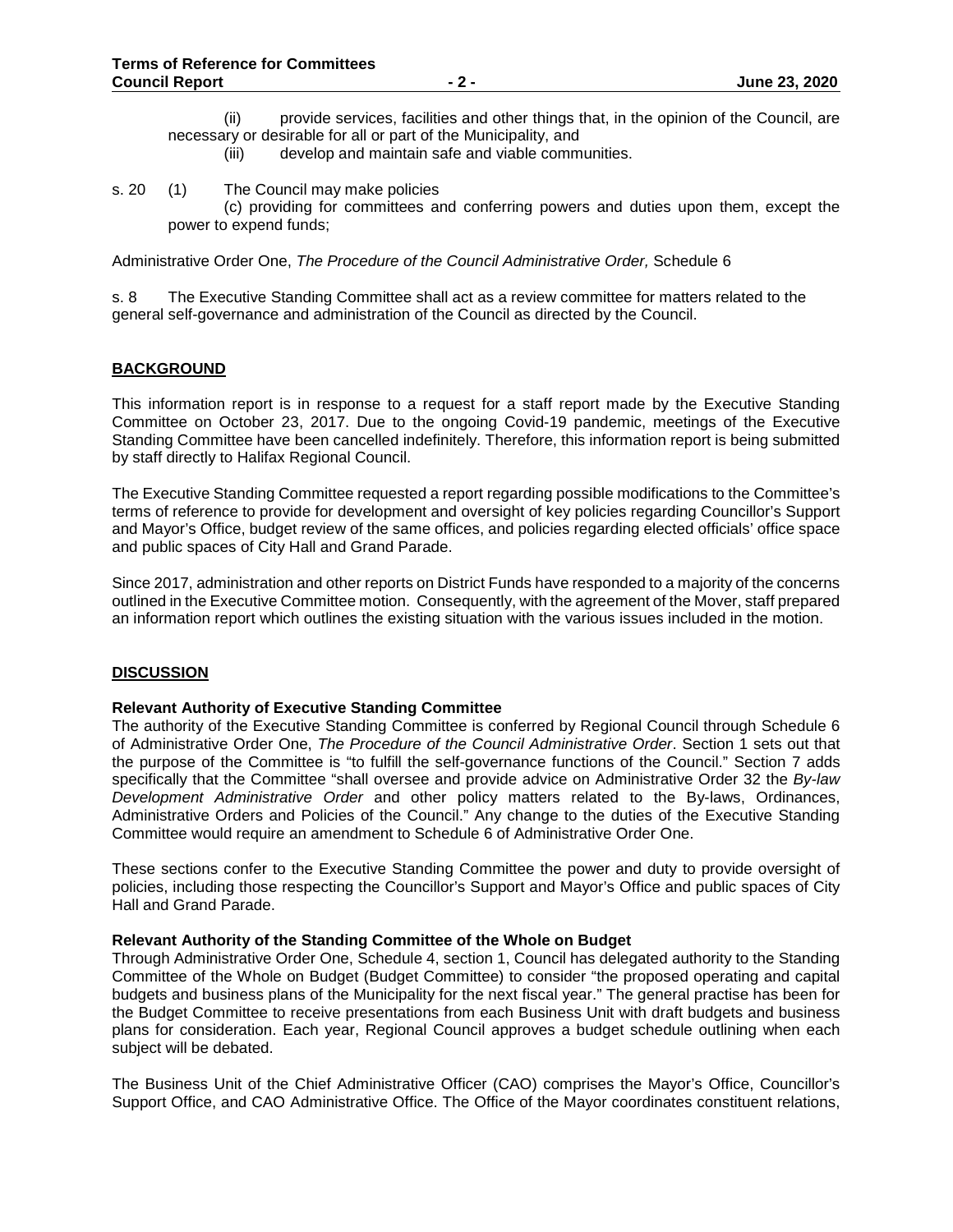- (ii) provide services, facilities and other things that, in the opinion of the Council, are necessary or desirable for all or part of the Municipality, and<br>(iii) develop and maintain safe and viable comm
	- develop and maintain safe and viable communities.

#### s. 20 (1) The Council may make policies

(c) providing for committees and conferring powers and duties upon them, except the power to expend funds;

Administrative Order One, *The Procedure of the Council Administrative Order,* Schedule 6

s. 8 The Executive Standing Committee shall act as a review committee for matters related to the general self-governance and administration of the Council as directed by the Council.

## **BACKGROUND**

This information report is in response to a request for a staff report made by the Executive Standing Committee on October 23, 2017. Due to the ongoing Covid-19 pandemic, meetings of the Executive Standing Committee have been cancelled indefinitely. Therefore, this information report is being submitted by staff directly to Halifax Regional Council.

The Executive Standing Committee requested a report regarding possible modifications to the Committee's terms of reference to provide for development and oversight of key policies regarding Councillor's Support and Mayor's Office, budget review of the same offices, and policies regarding elected officials' office space and public spaces of City Hall and Grand Parade.

Since 2017, administration and other reports on District Funds have responded to a majority of the concerns outlined in the Executive Committee motion. Consequently, with the agreement of the Mover, staff prepared an information report which outlines the existing situation with the various issues included in the motion.

## **DISCUSSION**

#### **Relevant Authority of Executive Standing Committee**

The authority of the Executive Standing Committee is conferred by Regional Council through Schedule 6 of Administrative Order One, *The Procedure of the Council Administrative Order*. Section 1 sets out that the purpose of the Committee is "to fulfill the self-governance functions of the Council." Section 7 adds specifically that the Committee "shall oversee and provide advice on Administrative Order 32 the *By-law Development Administrative Order* and other policy matters related to the By-laws, Ordinances, Administrative Orders and Policies of the Council." Any change to the duties of the Executive Standing Committee would require an amendment to Schedule 6 of Administrative Order One.

These sections confer to the Executive Standing Committee the power and duty to provide oversight of policies, including those respecting the Councillor's Support and Mayor's Office and public spaces of City Hall and Grand Parade.

#### **Relevant Authority of the Standing Committee of the Whole on Budget**

Through Administrative Order One, Schedule 4, section 1, Council has delegated authority to the Standing Committee of the Whole on Budget (Budget Committee) to consider "the proposed operating and capital budgets and business plans of the Municipality for the next fiscal year." The general practise has been for the Budget Committee to receive presentations from each Business Unit with draft budgets and business plans for consideration. Each year, Regional Council approves a budget schedule outlining when each subject will be debated.

The Business Unit of the Chief Administrative Officer (CAO) comprises the Mayor's Office, Councillor's Support Office, and CAO Administrative Office. The Office of the Mayor coordinates constituent relations,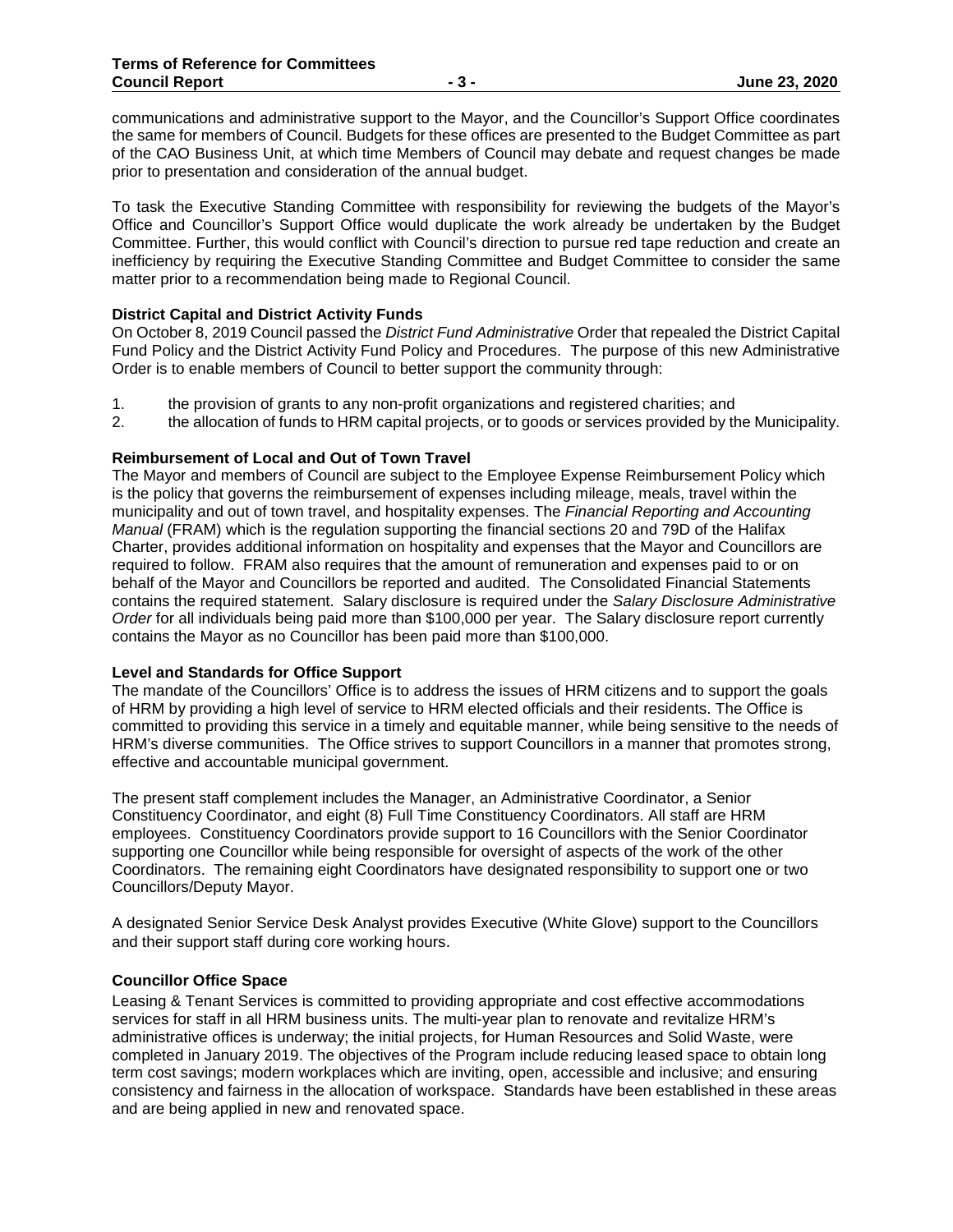communications and administrative support to the Mayor, and the Councillor's Support Office coordinates the same for members of Council. Budgets for these offices are presented to the Budget Committee as part of the CAO Business Unit, at which time Members of Council may debate and request changes be made prior to presentation and consideration of the annual budget.

To task the Executive Standing Committee with responsibility for reviewing the budgets of the Mayor's Office and Councillor's Support Office would duplicate the work already be undertaken by the Budget Committee. Further, this would conflict with Council's direction to pursue red tape reduction and create an inefficiency by requiring the Executive Standing Committee and Budget Committee to consider the same matter prior to a recommendation being made to Regional Council.

## **District Capital and District Activity Funds**

On October 8, 2019 Council passed the *District Fund Administrative* Order that repealed the District Capital Fund Policy and the District Activity Fund Policy and Procedures. The purpose of this new Administrative Order is to enable members of Council to better support the community through:

- 1. the provision of grants to any non-profit organizations and registered charities; and<br>2. the allocation of funds to HRM capital projects, or to goods or services provided by the
- 2. the allocation of funds to HRM capital projects, or to goods or services provided by the Municipality.

## **Reimbursement of Local and Out of Town Travel**

The Mayor and members of Council are subject to the Employee Expense Reimbursement Policy which is the policy that governs the reimbursement of expenses including mileage, meals, travel within the municipality and out of town travel, and hospitality expenses. The *Financial Reporting and Accounting Manual* (FRAM) which is the regulation supporting the financial sections 20 and 79D of the Halifax Charter, provides additional information on hospitality and expenses that the Mayor and Councillors are required to follow. FRAM also requires that the amount of remuneration and expenses paid to or on behalf of the Mayor and Councillors be reported and audited. The Consolidated Financial Statements contains the required statement. Salary disclosure is required under the *Salary Disclosure Administrative Order* for all individuals being paid more than \$100,000 per year. The Salary disclosure report currently contains the Mayor as no Councillor has been paid more than \$100,000.

## **Level and Standards for Office Support**

The mandate of the Councillors' Office is to address the issues of HRM citizens and to support the goals of HRM by providing a high level of service to HRM elected officials and their residents. The Office is committed to providing this service in a timely and equitable manner, while being sensitive to the needs of HRM's diverse communities. The Office strives to support Councillors in a manner that promotes strong, effective and accountable municipal government.

The present staff complement includes the Manager, an Administrative Coordinator, a Senior Constituency Coordinator, and eight (8) Full Time Constituency Coordinators. All staff are HRM employees. Constituency Coordinators provide support to 16 Councillors with the Senior Coordinator supporting one Councillor while being responsible for oversight of aspects of the work of the other Coordinators. The remaining eight Coordinators have designated responsibility to support one or two Councillors/Deputy Mayor.

A designated Senior Service Desk Analyst provides Executive (White Glove) support to the Councillors and their support staff during core working hours.

## **Councillor Office Space**

Leasing & Tenant Services is committed to providing appropriate and cost effective accommodations services for staff in all HRM business units. The multi-year plan to renovate and revitalize HRM's administrative offices is underway; the initial projects, for Human Resources and Solid Waste, were completed in January 2019. The objectives of the Program include reducing leased space to obtain long term cost savings; modern workplaces which are inviting, open, accessible and inclusive; and ensuring consistency and fairness in the allocation of workspace. Standards have been established in these areas and are being applied in new and renovated space.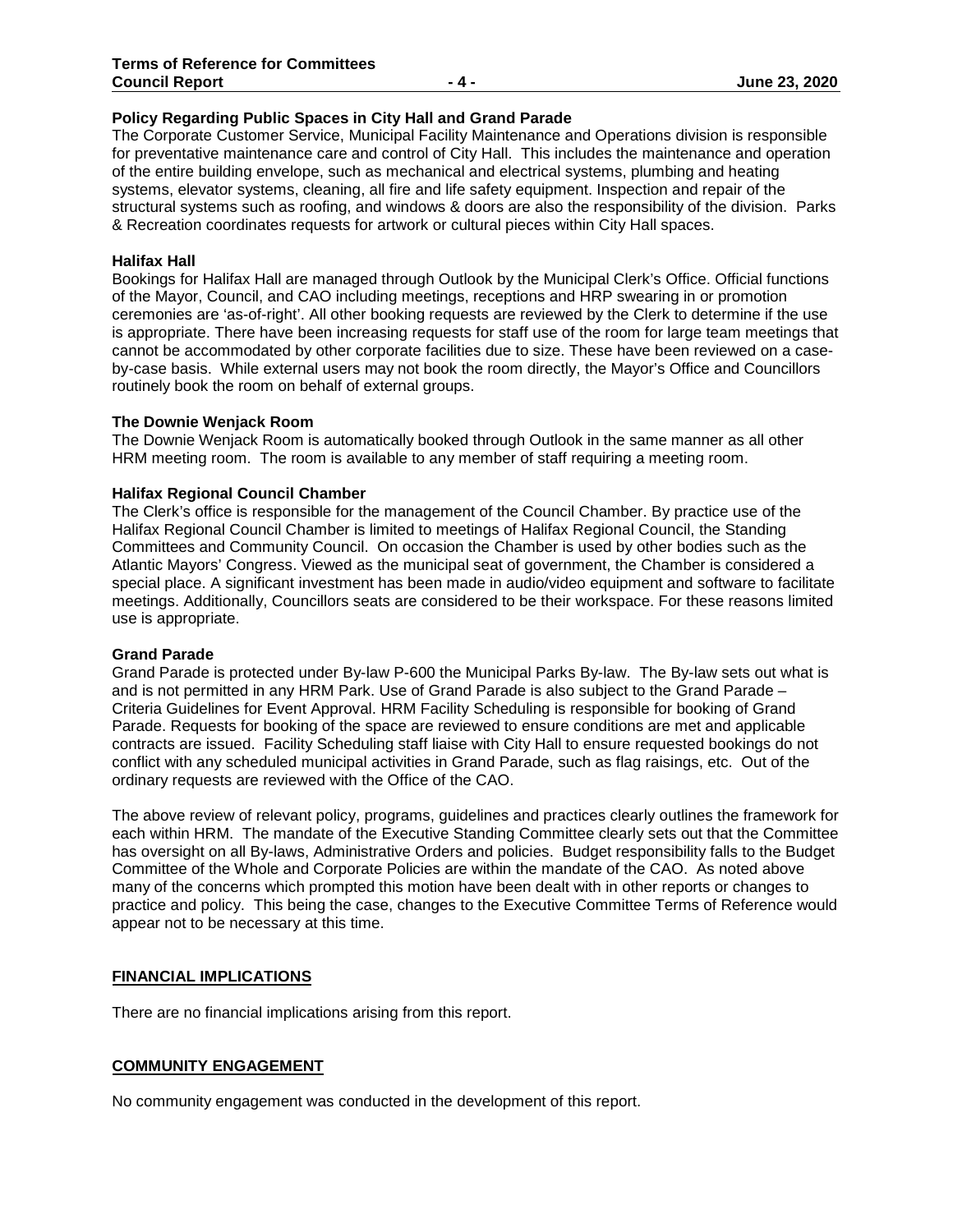#### **Policy Regarding Public Spaces in City Hall and Grand Parade**

The Corporate Customer Service, Municipal Facility Maintenance and Operations division is responsible for preventative maintenance care and control of City Hall. This includes the maintenance and operation of the entire building envelope, such as mechanical and electrical systems, plumbing and heating systems, elevator systems, cleaning, all fire and life safety equipment. Inspection and repair of the structural systems such as roofing, and windows & doors are also the responsibility of the division. Parks & Recreation coordinates requests for artwork or cultural pieces within City Hall spaces.

#### **Halifax Hall**

Bookings for Halifax Hall are managed through Outlook by the Municipal Clerk's Office. Official functions of the Mayor, Council, and CAO including meetings, receptions and HRP swearing in or promotion ceremonies are 'as-of-right'. All other booking requests are reviewed by the Clerk to determine if the use is appropriate. There have been increasing requests for staff use of the room for large team meetings that cannot be accommodated by other corporate facilities due to size. These have been reviewed on a caseby-case basis. While external users may not book the room directly, the Mayor's Office and Councillors routinely book the room on behalf of external groups.

#### **The Downie Wenjack Room**

The Downie Wenjack Room is automatically booked through Outlook in the same manner as all other HRM meeting room. The room is available to any member of staff requiring a meeting room.

## **Halifax Regional Council Chamber**

The Clerk's office is responsible for the management of the Council Chamber. By practice use of the Halifax Regional Council Chamber is limited to meetings of Halifax Regional Council, the Standing Committees and Community Council. On occasion the Chamber is used by other bodies such as the Atlantic Mayors' Congress. Viewed as the municipal seat of government, the Chamber is considered a special place. A significant investment has been made in audio/video equipment and software to facilitate meetings. Additionally, Councillors seats are considered to be their workspace. For these reasons limited use is appropriate.

#### **Grand Parade**

Grand Parade is protected under By-law P-600 the Municipal Parks By-law. The By-law sets out what is and is not permitted in any HRM Park. Use of Grand Parade is also subject to the Grand Parade – Criteria Guidelines for Event Approval. HRM Facility Scheduling is responsible for booking of Grand Parade. Requests for booking of the space are reviewed to ensure conditions are met and applicable contracts are issued. Facility Scheduling staff liaise with City Hall to ensure requested bookings do not conflict with any scheduled municipal activities in Grand Parade, such as flag raisings, etc. Out of the ordinary requests are reviewed with the Office of the CAO.

The above review of relevant policy, programs, guidelines and practices clearly outlines the framework for each within HRM. The mandate of the Executive Standing Committee clearly sets out that the Committee has oversight on all By-laws, Administrative Orders and policies. Budget responsibility falls to the Budget Committee of the Whole and Corporate Policies are within the mandate of the CAO. As noted above many of the concerns which prompted this motion have been dealt with in other reports or changes to practice and policy. This being the case, changes to the Executive Committee Terms of Reference would appear not to be necessary at this time.

## **FINANCIAL IMPLICATIONS**

There are no financial implications arising from this report.

## **COMMUNITY ENGAGEMENT**

No community engagement was conducted in the development of this report.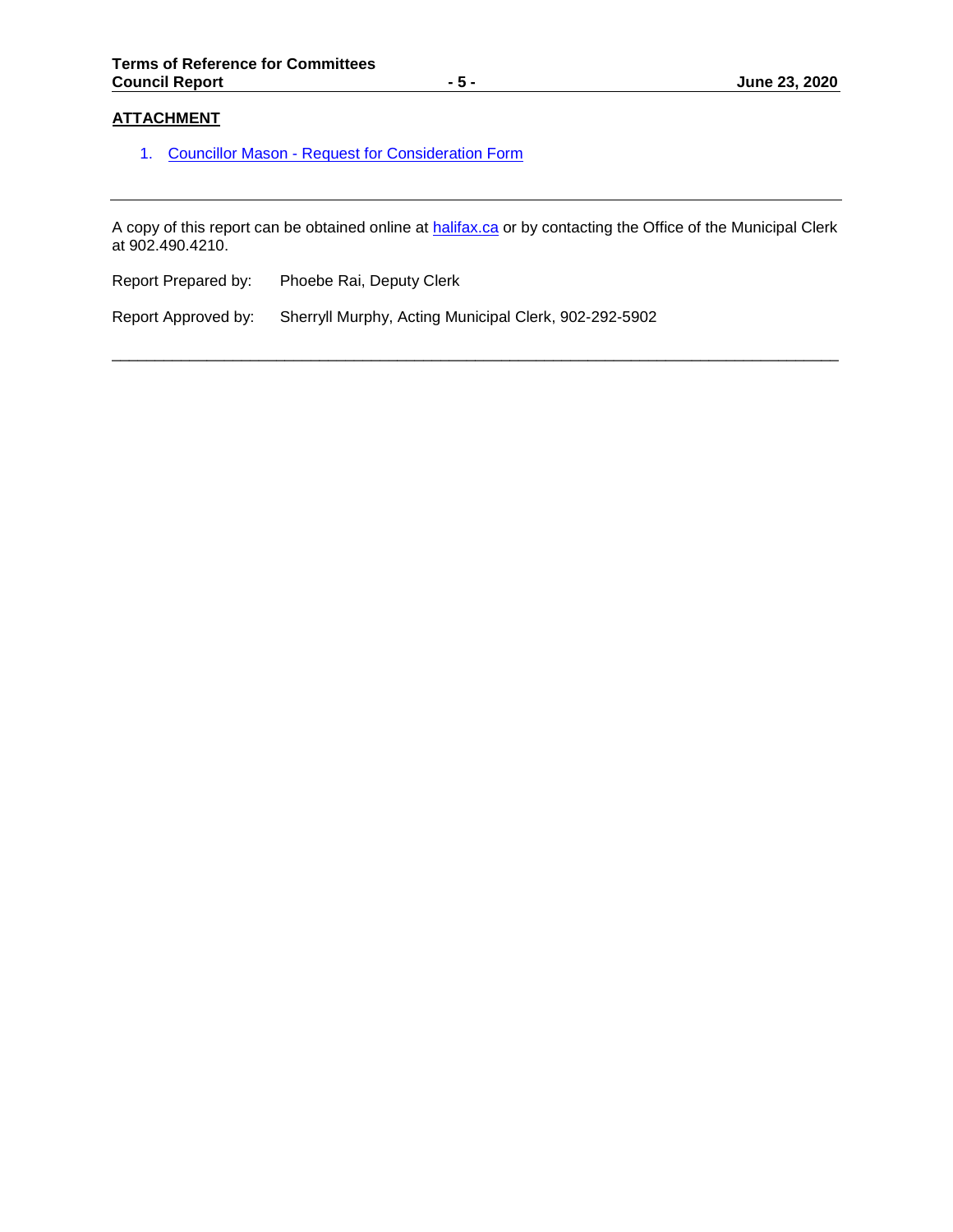# **ATTACHMENT**

1. [Councillor Mason - Request for Consideration Form](https://www.halifax.ca/sites/default/files/documents/city-hall/boards-committees-commissions/esc171023item1301.pdf)

A copy of this report can be obtained online at [halifax.ca](http://www.halifax.ca/) or by contacting the Office of the Municipal Clerk at 902.490.4210.

\_\_\_\_\_\_\_\_\_\_\_\_\_\_\_\_\_\_\_\_\_\_\_\_\_\_\_\_\_\_\_\_\_\_\_\_\_\_\_\_\_\_\_\_\_\_\_\_\_\_\_\_\_\_\_\_\_\_\_\_\_\_\_\_\_\_\_\_\_\_\_\_\_\_\_\_\_\_\_\_\_\_\_\_

| Report Prepared by: | Phoebe Rai, Deputy Clerk |
|---------------------|--------------------------|
|                     |                          |

Report Approved by: Sherryll Murphy, Acting Municipal Clerk, 902-292-5902